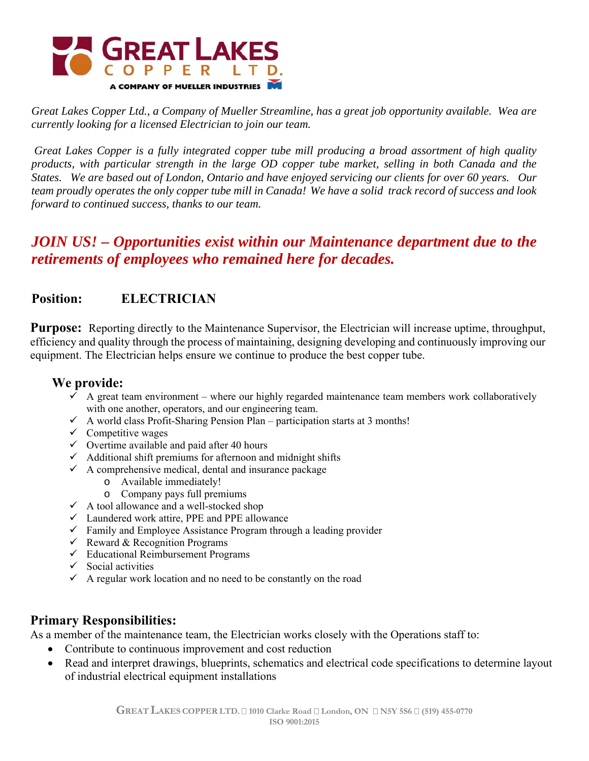

*Great Lakes Copper Ltd., a Company of Mueller Streamline, has a great job opportunity available. Wea are currently looking for a licensed Electrician to join our team.* 

 *Great Lakes Copper is a fully integrated copper tube mill producing a broad assortment of high quality products, with particular strength in the large OD copper tube market, selling in both Canada and the States. We are based out of London, Ontario and have enjoyed servicing our clients for over 60 years. Our team proudly operates the only copper tube mill in Canada! We have a solid track record of success and look forward to continued success, thanks to our team.* 

# *JOIN US! – Opportunities exist within our Maintenance department due to the retirements of employees who remained here for decades.*

# **Position: ELECTRICIAN**

**Purpose:** Reporting directly to the Maintenance Supervisor, the Electrician will increase uptime, throughput, efficiency and quality through the process of maintaining, designing developing and continuously improving our equipment. The Electrician helps ensure we continue to produce the best copper tube.

### **We provide:**

- $\checkmark$  A great team environment where our highly regarded maintenance team members work collaboratively with one another, operators, and our engineering team.
- $\checkmark$  A world class Profit-Sharing Pension Plan participation starts at 3 months!
- $\checkmark$  Competitive wages
- $\checkmark$  Overtime available and paid after 40 hours
- $\checkmark$  Additional shift premiums for afternoon and midnight shifts
- $\checkmark$  A comprehensive medical, dental and insurance package
	- o Available immediately!
	- o Company pays full premiums
- $\checkmark$  A tool allowance and a well-stocked shop
- $\checkmark$  Laundered work attire, PPE and PPE allowance
- $\checkmark$  Family and Employee Assistance Program through a leading provider
- $\checkmark$  Reward & Recognition Programs
- $\checkmark$  Educational Reimbursement Programs
- $\checkmark$  Social activities
- $\checkmark$  A regular work location and no need to be constantly on the road

## **Primary Responsibilities:**

As a member of the maintenance team, the Electrician works closely with the Operations staff to:

- Contribute to continuous improvement and cost reduction
- Read and interpret drawings, blueprints, schematics and electrical code specifications to determine layout of industrial electrical equipment installations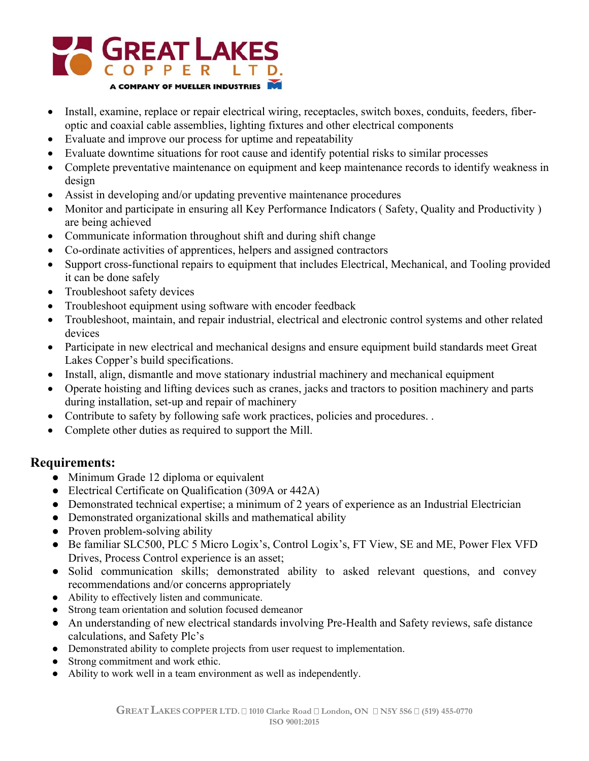

- Install, examine, replace or repair electrical wiring, receptacles, switch boxes, conduits, feeders, fiberoptic and coaxial cable assemblies, lighting fixtures and other electrical components
- Evaluate and improve our process for uptime and repeatability
- Evaluate downtime situations for root cause and identify potential risks to similar processes
- Complete preventative maintenance on equipment and keep maintenance records to identify weakness in design
- Assist in developing and/or updating preventive maintenance procedures
- Monitor and participate in ensuring all Key Performance Indicators (Safety, Quality and Productivity) are being achieved
- Communicate information throughout shift and during shift change
- Co-ordinate activities of apprentices, helpers and assigned contractors
- Support cross-functional repairs to equipment that includes Electrical, Mechanical, and Tooling provided it can be done safely
- Troubleshoot safety devices
- Troubleshoot equipment using software with encoder feedback
- Troubleshoot, maintain, and repair industrial, electrical and electronic control systems and other related devices
- Participate in new electrical and mechanical designs and ensure equipment build standards meet Great Lakes Copper's build specifications.
- Install, align, dismantle and move stationary industrial machinery and mechanical equipment
- Operate hoisting and lifting devices such as cranes, jacks and tractors to position machinery and parts during installation, set-up and repair of machinery
- Contribute to safety by following safe work practices, policies and procedures...
- Complete other duties as required to support the Mill.

#### **Requirements:**

- Minimum Grade 12 diploma or equivalent
- Electrical Certificate on Qualification (309A or 442A)
- Demonstrated technical expertise; a minimum of 2 years of experience as an Industrial Electrician
- Demonstrated organizational skills and mathematical ability
- Proven problem-solving ability
- Be familiar SLC500, PLC 5 Micro Logix's, Control Logix's, FT View, SE and ME, Power Flex VFD Drives, Process Control experience is an asset;
- Solid communication skills; demonstrated ability to asked relevant questions, and convey recommendations and/or concerns appropriately
- Ability to effectively listen and communicate.
- Strong team orientation and solution focused demeanor
- An understanding of new electrical standards involving Pre-Health and Safety reviews, safe distance calculations, and Safety Plc's
- Demonstrated ability to complete projects from user request to implementation.
- Strong commitment and work ethic.
- Ability to work well in a team environment as well as independently.